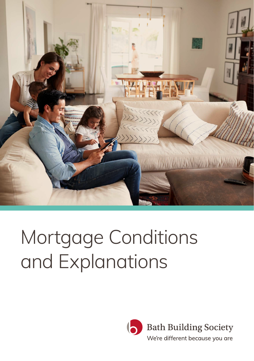

# Mortgage Conditions and Explanations

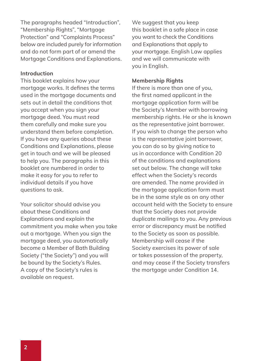The paragraphs headed "Introduction", "Membership Rights", "Mortgage Protection" and "Complaints Process" below are included purely for information and do not form part of or amend the Mortgage Conditions and Explanations.

#### **Introduction**

This booklet explains how your mortgage works. It defines the terms used in the mortgage documents and sets out in detail the conditions that you accept when you sign your mortgage deed. You must read them carefully and make sure you understand them before completion. If you have any queries about these Conditions and Explanations, please get in touch and we will be pleased to help you. The paragraphs in this booklet are numbered in order to make it easy for you to refer to individual details if you have questions to ask.

Your solicitor should advise you about these Conditions and Explanations and explain the commitment you make when you take out a mortgage. When you sign the mortgage deed, you automatically become a Member of Bath Building Society ("the Society") and you will be bound by the Society's Rules. A copy of the Society's rules is available on request.

We suggest that you keep this booklet in a safe place in case you want to check the Conditions and Explanations that apply to your mortgage. English Law applies and we will communicate with you in English.

#### **Membership Rights**

If there is more than one of you, the first named applicant in the mortgage application form will be the Society's Member with borrowing membership rights. He or she is known as the representative joint borrower. If you wish to change the person who is the representative joint borrower, you can do so by giving notice to us in accordance with Condition 20 of the conditions and explanations set out below. The change will take effect when the Society's records are amended. The name provided in the mortgage application form must be in the same style as on any other account held with the Society to ensure that the Society does not provide duplicate mailings to you. Any previous error or discrepancy must be notified to the Society as soon as possible. Membership will cease if the Society exercises its power of sale or takes possession of the property, and may cease if the Society transfers the mortgage under Condition 14.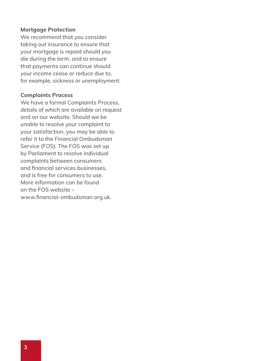#### **Mortgage Protection**

We recommend that you consider taking out insurance to ensure that your mortgage is repaid should you die during the term, and to ensure that payments can continue should your income cease or reduce due to, for example, sickness or unemployment.

#### **Complaints Process**

We have a formal Complaints Process, details of which are available on request and on our website. Should we be unable to resolve your complaint to your satisfaction, you may be able to refer it to the Financial Ombudsman Service (FOS). The FOS was set up by Parliament to resolve individual complaints between consumers and financial services businesses, and is free for consumers to use. More information can be found on the FOS website – www.financial-ombudsman.org.uk.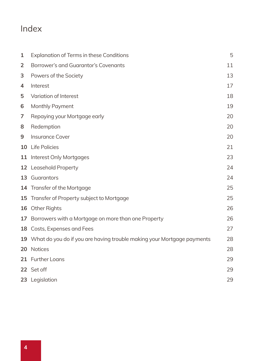### Index

| $\mathbf{1}$ | <b>Explanation of Terms in these Conditions</b>                           | 5  |
|--------------|---------------------------------------------------------------------------|----|
| 2            | Borrower's and Guarantor's Covenants                                      | 11 |
| 3            | Powers of the Society                                                     | 13 |
| 4            | Interest                                                                  | 17 |
| 5            | Variation of Interest                                                     | 18 |
| 6            | Monthly Payment                                                           | 19 |
| 7            | Repaying your Mortgage early                                              | 20 |
| 8            | Redemption                                                                | 20 |
| 9            | <b>Insurance Cover</b>                                                    | 20 |
|              | 10 Life Policies                                                          | 21 |
|              | 11 Interest Only Mortgages                                                | 23 |
|              | 12 Leasehold Property                                                     | 24 |
|              | 13 Guarantors                                                             | 24 |
|              | 14 Transfer of the Mortgage                                               | 25 |
|              | 15 Transfer of Property subject to Mortgage                               | 25 |
|              | 16 Other Rights                                                           | 26 |
|              | 17 Borrowers with a Mortgage on more than one Property                    | 26 |
|              | 18 Costs, Expenses and Fees                                               | 27 |
|              | 19 What do you do if you are having trouble making your Mortgage payments | 28 |
|              | 20 Notices                                                                | 28 |
|              | 21 Further Loans                                                          | 29 |
|              | 22 Set off                                                                | 29 |
|              | 23 Legislation                                                            | 29 |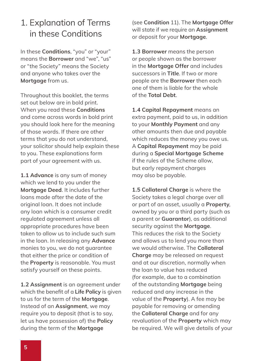### 1. Explanation of Terms in these Conditions

In these **Conditions**, "you" or "your" means the **Borrower** and "we", "us" or "the Society" means the Society and anyone who takes over the **Mortgage** from us.

Throughout this booklet, the terms set out below are in bold print. When you read these **Conditions** and come across words in bold print you should look here for the meaning of those words. If there are other terms that you do not understand, your solicitor should help explain these to you. These explanations form part of your agreement with us.

**1.1 Advance** is any sum of money which we lend to you under the **Mortgage Deed**. It includes further loans made after the date of the original loan. It does not include any loan which is a consumer credit regulated agreement unless all appropriate procedures have been taken to allow us to include such sum in the loan. In releasing any **Advance** monies to you, we do not guarantee that either the price or condition of the **Property** is reasonable. You must satisfy yourself on these points.

**1.2 Assignment** is an agreement under which the benefit of a **Life Policy** is given to us for the term of the **Mortgage**. Instead of an **Assignment**, we may require you to deposit (that is to say, let us have possession of) the **Policy** during the term of the **Mortgage**

(see **Condition** 11). The **Mortgage Offer** will state if we require an **Assignment** or deposit for your **Mortgage**.

**1.3 Borrower** means the person or people shown as the borrower in the **Mortgage Offer** and includes successors in **Title**. If two or more people are the **Borrower** then each one of them is liable for the whole of the **Total Debt**.

**1.4 Capital Repayment** means an extra payment, paid to us, in addition to your **Monthly Payment** and any other amounts then due and payable which reduces the money you owe us. A **Capital Repayment** may be paid during a **Special Mortgage Scheme** if the rules of the Scheme allow, but early repayment charges may also be payable.

**1.5 Collateral Charge** is where the Society takes a legal charge over all or part of an asset, usually a **Property**, owned by you or a third party (such as a parent or **Guarantor**), as additional security against the **Mortgage**. This reduces the risk to the Society and allows us to lend you more than we would otherwise. The **Collateral Charge** may be released on request and at our discretion, normally when the loan to value has reduced (for example, due to a combination of the outstanding **Mortgage** being reduced and any increase in the value of the **Property**). A fee may be payable for removing or amending the **Collateral Charge** and for any revaluation of the **Property** which may be required. We will give details of your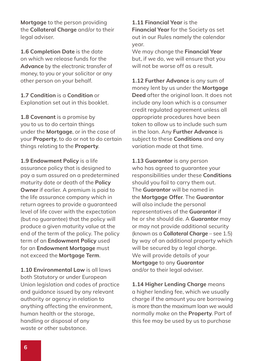**Mortgage** to the person providing the **Collateral Charge** and/or to their legal adviser.

**1.6 Completion Date** is the date on which we release funds for the **Advance** by the electronic transfer of money, to you or your solicitor or any other person on your behalf.

**1.7 Condition** is a **Condition** or Explanation set out in this booklet.

**1.8 Covenant** is a promise by you to us to do certain things under the **Mortgage**, or in the case of your **Property**, to do or not to do certain things relating to the **Property**.

**1.9 Endowment Policy** is a life assurance policy that is designed to pay a sum assured on a predetermined maturity date or death of the **Policy Owner** if earlier. A premium is paid to the life assurance company which in return agrees to provide a guaranteed level of life cover with the expectation (but no guarantee) that the policy will produce a given maturity value at the end of the term of the policy. The policy term of an **Endowment Policy** used for an **Endowment Mortgage** must not exceed the **Mortgage Term**.

**1.10 Environmental Law** is all laws both Statutory or under European Union legislation and codes of practice and guidance issued by any relevant authority or agency in relation to anything affecting the environment, human health or the storage, handling or disposal of any waste or other substance.

**1.11 Financial Year** is the **Financial Year** for the Society as set out in our Rules namely the calendar year.

We may change the **Financial Year** but, if we do, we will ensure that you will not be worse off as a result.

**1.12 Further Advance** is any sum of money lent by us under the **Mortgage Deed** after the original loan. It does not include any loan which is a consumer credit regulated agreement unless all appropriate procedures have been taken to allow us to include such sum in the loan. Any **Further Advance** is subject to these **Conditions** and any variation made at that time.

**1.13 Guarantor** is any person who has agreed to guarantee your responsibilities under these **Conditions** should you fail to carry them out. The **Guarantor** will be named in the **Mortgage Offer**. The **Guarantor** will also include the personal representatives of the **Guarantor** if he or she should die. A *Guarantor* may or may not provide additional security (known as a *Collateral Charge* – see 1.5) by way of an additional property which will be secured by a legal charge. We will provide details of your **Mortgage** to any **Guarantor** and/or to their legal adviser.

**1.14 Higher Lending Charge** means a higher lending fee, which we usually charge if the amount you are borrowing is more than the maximum loan we would normally make on the **Property**. Part of this fee may be used by us to purchase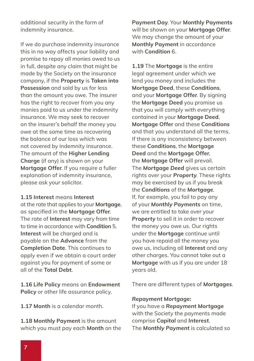additional security in the form of indemnity insurance.

If we do purchase indemnity insurance this in no way affects your liability and promise to repay all monies owed to us in full, despite any claim that might be made by the Society on the insurance company, if the **Property** is **Taken into Possession** and sold by us for less than the amount you owe. The insurer has the right to recover from you any monies paid to us under the indemnity insurance. We may seek to recover on the insurer's behalf the money you owe at the same time as recovering the balance of our loss which was not covered by indemnity insurance. The amount of the **Higher Lending Charge** (if any) is shown on your **Mortgage Offer**. If you require a fuller explanation of indemnity insurance, please ask your solicitor.

**1.15 Interest** means **Interest** at the rate that applies to your **Mortgage**, as specified in the **Mortgage Offer**. The rate of **Interest** may vary from time to time in accordance with **Condition** 5. **Interest** will be charged and is payable on the **Advance** from the **Completion Date**. This continues to apply even if we obtain a court order against you for payment of some or all of the **Total Debt**.

**1.16 Life Policy** means an **Endowment Policy** or other life assurance policy.

**1.17 Month** is a calendar month.

**1.18 Monthly Payment** is the amount which you must pay each **Month** on the **Payment Day**. Your **Monthly Payments** will be shown on your **Mortgage Offer**. We may change the amount of your **Monthly Payment** in accordance with **Condition** 6.

**1.19** The **Mortgage** is the entire legal agreement under which we lend you money and includes the **Mortgage Deed**, these **Conditions**, and your **Mortgage Offer**. By signing the **Mortgage Deed** you promise us that you will comply with everything contained in your **Mortgage Deed**, **Mortgage Offer** and these **Conditions** and that you understand all the terms. If there is any inconsistency between these **Conditions**, the **Mortgage Deed** and the **Mortgage Offer**, the **Mortgage Offer** will prevail. The *Mortgage Deed* gives us certain rights over your *Property*. These rights may be exercised by us if you break the *Conditions* of the *Mortgage*. If, for example, you fail to pay any of your *Monthly Payments* on time, we are entitled to take over your *Property* to sell it in order to recover the money you owe us. Our rights under the **Mortgage** continue until you have repaid all the money you owe us, including all **Interest** and any other charges. You cannot take out a **Mortgage** with us if you are under 18 years old.

There are different types of *Mortgages*.

#### *Repayment Mortgage:*

If you have a *Repayment Mortgage* with the Society the payments made comprise *Capital* and *Interest*. The *Monthly Payment* is calculated so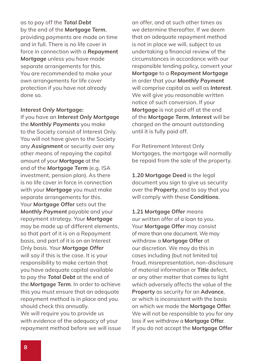as to pay off the *Total Debt* by the end of the *Mortgage Term*, providing payments are made on time and in full. There is no life cover in force in connection with a *Repayment Mortgage* unless you have made separate arrangements for this. You are recommended to make your own arrangements for life cover protection if you have not already done so.

#### *Interest Only Mortgage:*

If you have an *Interest Only Mortgage* the *Monthly Payments* you make to the Society consist of Interest Only. You will not have given to the Society any *Assignment* or security over any other means of repaying the capital amount of your *Mortgage* at the end of the *Mortgage Term* (e.g. ISA investment, pension plan). As there is no life cover in force in connection with your *Mortgage* you must make separate arrangements for this. Your *Mortgage Offer* sets out the *Monthly Payment* payable and your repayment strategy. Your *Mortgage* may be made up of different elements, so that part of it is on a Repayment basis, and part of it is on an Interest Only basis. Your *Mortgage Offer* will say if this is the case. It is your responsibility to make certain that you have adequate capital available to pay the *Total Debt* at the end of the *Mortgage Term*. In order to achieve this you must ensure that an adequate repayment method is in place and you should check this annually. We will require you to provide us with evidence of the adequacy of your repayment method before we will issue an offer, and at such other times as we determine thereafter. If we deem that an adequate repayment method is not in place we will, subject to us undertaking a financial review of the circumstances in accordance with our responsible lending policy, convert your *Mortgage* to a *Repayment Mortgage* in order that your *Monthly Payment* will comprise capital as well as *Interest*. We will give you reasonable written notice of such conversion. If your *Mortgage* is not paid off at the end of the *Mortgage Term*, *Interest* will be charged on the amount outstanding until it is fully paid off.

For Retirement Interest Only Mortgages, the mortgage will normally be repaid from the sale of the property.

**1.20 Mortgage Deed** is the legal document you sign to give us security over the **Property**, and to say that you will comply with these **Conditions**.

**1.21 Mortgage Offer** means our written offer of a loan to you. Your **Mortgage Offer** may consist of more than one document. We may withdraw a **Mortgage Offer** at our discretion. We may do this in cases including (but not limited to) fraud, misrepresentation, non-disclosure of material information or **Title** defect, or any other matter that comes to light which adversely affects the value of the **Property** as security for an **Advance**, or which is inconsistent with the basis on which we made the **Mortgage Offer**. We will not be responsible to you for any loss if we withdraw a **Mortgage Offer**. If you do not accept the **Mortgage Offer**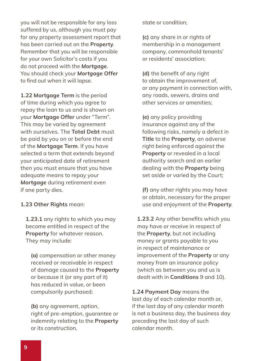you will not be responsible for any loss suffered by us, although you must pay for any property assessment report that has been carried out on the **Property**. Remember that you will be responsible for your own Solicitor's costs if you do not proceed with the *Mortgage*. You should check your *Mortgage Offer* to find out when it will lapse.

**1.22 Mortgage Term** is the period of time during which you agree to repay the loan to us and is shown on your **Mortgage Offer** under "Term". This may be varied by agreement with ourselves. The **Total Debt** must be paid by you on or before the end of the **Mortgage Term**. If you have selected a term that extends beyond your anticipated date of retirement then you must ensure that you have adequate means to repay your *Mortgage* during retirement even if one party dies.

#### **1.23 Other Rights** mean:

**1.23.1** any rights to which you may become entitled in respect of the **Property** for whatever reason. They may include:

**(a)** compensation or other money received or receivable in respect of damage caused to the **Property** or because it (or any part of it) has reduced in value, or been compulsorily purchased;

**(b)** any agreement, option, right of pre-emption, guarantee or indemnity relating to the **Property** or its construction,

state or condition;

**(c)** any share in or rights of membership in a management company, commonhold tenants' or residents' association;

**(d)** the benefit of any right to obtain the improvement of, or any payment in connection with, any roads, sewers, drains and other services or amenities;

**(e)** any policy providing insurance against any of the following risks, namely a defect in **Title** to the **Property**, an adverse right being enforced against the **Property** or revealed in a local authority search and an earlier dealing with the **Property** being set aside or varied by the Court;

**(f)** any other rights you may have or obtain, necessary for the proper use and enjoyment of the **Property**.

**1.23.2** Any other benefits which you may have or receive in respect of the **Property**, but not including money or grants payable to you in respect of maintenance or improvement of the **Property** or any money from an insurance policy (which as between you and us is dealt with in **Conditions** 9 and 10).

**1.24 Payment Day** means the last day of each calendar month or, if the last day of any calendar month is not a business day, the business day preceding the last day of such calendar month.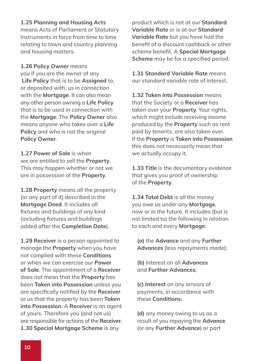#### **1.25 Planning and Housing Acts**

means Acts of Parliament or Statutory Instruments in force from time to time relating to town and country planning and housing matters.

#### **1.26 Policy Owner** means

you if you are the owner of any **Life Policy** that is to be **Assigned** to, or deposited with, us in connection with the **Mortgage**. It can also mean any other person owning a **Life Policy** that is to be used in connection with the **Mortgage**. The **Policy Owner** also means anyone who takes over a **Life Policy** and who is not the original **Policy Owner**.

**1.27 Power of Sale** is when we are entitled to sell the **Property**. This may happen whether or not we are in possession of the **Property**.

**1.28 Property** means all the property (or any part of it) described in the **Mortgage Deed**. It includes all fixtures and buildings of any kind (including fixtures and buildings added after the **Completion Date**).

**1.29 Receiver** is a person appointed to manage the **Property** when you have not complied with these **Conditions** or when we can exercise our **Power of Sale**. The appointment of a **Receiver** does not mean that the **Property** has been **Taken into Possession** unless you are specifically notified by the **Receiver** or us that the property has been **Taken into Possession**. A **Receiver** is an agent of yours. Therefore you (and not us) are responsible for actions of the **Receiver**. **1.30 Special Mortgage Scheme** is any

product which is not at our **Standard Variable Rate** or is at our **Standard Variable Rate** but you have had the benefit of a discount cashback or other scheme benefit. A **Special Mortgage Scheme** may be for a specified period.

**1.31 Standard Variable Rate** means our standard variable rate of interest.

**1.32 Taken into Possession** means that the Society or a **Receiver** has taken over your **Property**. Your rights, which might include receiving income produced by the **Property** such as rent paid by tenants, are also taken over. If the **Property** is **Taken into Possession** this does not necessarily mean that we actually occupy it.

**1.33 Title** is the documentary evidence that gives you proof of ownership of the **Property**.

**1.34 Total Debt** is all the money you owe us under any **Mortgage**, now or in the future. It includes (but is not limited to) the following in relation to each and every **Mortgage**:

**(a)** the **Advance** and any **Further Advances** (less repayments made);

**(b)** Interest on all **Advances** and **Further Advances**;

**(c) Interest** on any arrears of payments, in accordance with these **Conditions**;

**(d)** any money owing to us as a result of you repaying the **Advance** (or any **Further Advance**) or part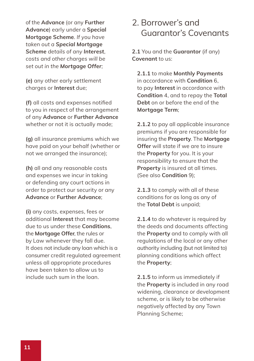of the **Advance** (or any **Further Advance**) early under a **Special Mortgage Scheme**. *If you have taken out a Special Mortgage Scheme details of any Interest, costs and other charges will be set out in the Mortgage Offer;*

**(e)** any other early settlement charges or **Interest** due;

**(f)** all costs and expenses notified to you in respect of the arrangement of any **Advance** or **Further Advance** whether or not it is actually made;

**(g)** all insurance premiums which we have paid on your behalf (whether or not we arranged the insurance);

**(h)** all and any reasonable costs and expenses we incur in taking or defending any court actions in order to protect our security or any **Advance** or **Further Advance**;

**(i)** any costs, expenses, fees or additional **Interest** that may become due to us under these **Conditions**, the **Mortgage Offer**, the rules or by Law whenever they fall due. It does not include any loan which is a consumer credit regulated agreement unless all appropriate procedures have been taken to allow us to include such sum in the loan.

#### 2. Borrower's and Guarantor's Covenants

**2.1** You and the **Guarantor** (if any) **Covenant** to us:

**2.1.1** to make **Monthly Payments** in accordance with **Condition** 6, to pay **Interest** in accordance with **Condition** 4, and to repay the **Total Debt** on or before the end of the **Mortgage Term**;

**2.1.2** to pay all applicable insurance premiums if you are responsible for insuring the **Property**. The **Mortgage Offer** will state if we are to insure the **Property** for you. It is your responsibility to ensure that the **Property** is insured at all times. (See also **Condition** 9);

**2.1.3** to comply with all of these conditions for as long as any of the **Total Debt** is unpaid;

**2.1.4** to do whatever is required by the deeds and documents affecting the **Property** and to comply with all regulations of the local or any other authority including (but not limited to) planning conditions which affect the **Property**;

**2.1.5** to inform us immediately if the **Property** is included in any road widening, clearance or development scheme, or is likely to be otherwise negatively affected by any Town Planning Scheme;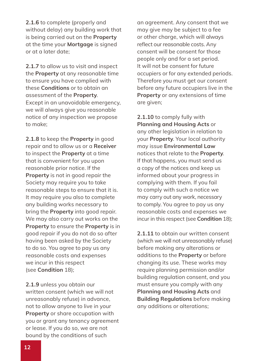**2.1.6** to complete (properly and without delay) any building work that is being carried out on the **Property** at the time your **Mortgage** is signed or at a later date;

**2.1.7** to allow us to visit and inspect the **Property** at any reasonable time to ensure you have complied with these **Conditions** or to obtain an assessment of the **Property**. Except in an unavoidable emergency, we will always give you reasonable notice of any inspection we propose to make;

**2.1.8** to keep the **Property** in good repair and to allow us or a **Receiver** to inspect the **Property** at a time that is convenient for you upon reasonable prior notice. If the **Property** is not in good repair the Society may require you to take reasonable steps to ensure that it is. It may require you also to complete any building works necessary to bring the **Property** into good repair. We may also carry out works on the **Property** to ensure the **Property** is in good repair if you do not do so after having been asked by the Society to do so. You agree to pay us any reasonable costs and expenses we incur in this respect (see **Condition** 18);

**2.1.9** unless you obtain our written consent (which we will not unreasonably refuse) in advance, not to allow anyone to live in your **Property** or share occupation with you or grant any tenancy agreement or lease. If you do so, we are not bound by the conditions of such

an agreement. Any consent that we may give may be subject to a fee or other charge, which will always reflect our reasonable costs. Any consent will be consent for those people only and for a set period. It will not be consent for future occupiers or for any extended periods. Therefore you must get our consent before any future occupiers live in the **Property** or any extensions of time are given;

**2.1.10** to comply fully with **Planning and Housing Acts** or any other legislation in relation to your **Property**. Your local authority may issue **Environmental Law** notices that relate to the **Property**. If that happens, you must send us a copy of the notices and keep us informed about your progress in complying with them. If you fail to comply with such a notice we may carry out any work, necessary to comply. You agree to pay us any reasonable costs and expenses we incur in this respect (see **Condition** 18);

**2.1.11** to obtain our written consent (which we will not unreasonably refuse) before making any alterations or additions to the **Property** or before changing its use. These works may require planning permission and/or building regulation consent, and you must ensure you comply with any **Planning and Housing Acts** and **Building Regulations** before making any additions or alterations;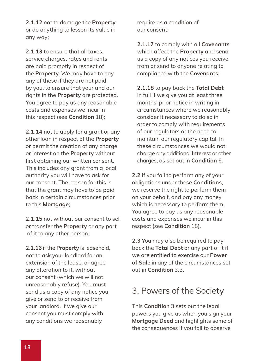**2.1.12** not to damage the **Property** or do anything to lessen its value in any way;

**2.1.13** to ensure that all taxes, service charges, rates and rents are paid promptly in respect of the **Property**. We may have to pay any of these if they are not paid by you, to ensure that your and our rights in the **Property** are protected. You agree to pay us any reasonable costs and expenses we incur in this respect (see **Condition** 18);

**2.1.14** not to apply for a grant or any other loan in respect of the **Property** or permit the creation of any charge or interest on the **Property** without first obtaining our written consent. This includes any grant from a local authority you will have to ask for our consent. The reason for this is that the grant may have to be paid back in certain circumstances prior to this **Mortgage**;

**2.1.15** not without our consent to sell or transfer the **Property** or any part of it to any other person;

**2.1.16** if the **Property** is leasehold, not to ask your landlord for an extension of the lease, or agree any alteration to it, without our consent (which we will not unreasonably refuse). You must send us a copy of any notice you give or send to or receive from your landlord. If we give our consent you must comply with any conditions we reasonably

require as a condition of our consent;

**2.1.17** to comply with all **Covenants** which affect the **Property** and send us a copy of any notices you receive from or send to anyone relating to compliance with the **Covenants**;

**2.1.18** to pay back the **Total Debt** in full if we give you at least three months' prior notice in writing in circumstances where we reasonably consider it necessary to do so in order to comply with requirements of our regulators or the need to maintain our regulatory capital. In these circumstances we would not charge any additional **Interest** or other charges, as set out in **Condition** 6.

**2.2** If you fail to perform any of your obligations under these **Conditions**, we reserve the right to perform them on your behalf, and pay any money which is necessary to perform them. You agree to pay us any reasonable costs and expenses we incur in this respect (see **Condition** 18).

**2.3** You may also be required to pay back the **Total Debt** or any part of it if we are entitled to exercise our **Power of Sale** in any of the circumstances set out in **Condition** 3.3.

#### 3. Powers of the Society

This **Condition** 3 sets out the legal powers you give us when you sign your **Mortgage Deed** and highlights some of the consequences if you fail to observe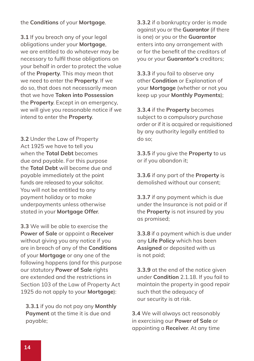the **Conditions** of your **Mortgage**.

**3.1** If you breach any of your legal obligations under your **Mortgage**, we are entitled to do whatever may be necessary to fulfil those obligations on your behalf in order to protect the value of the **Property**. This may mean that we need to enter the **Property**. If we do so, that does not necessarily mean that we have **Taken into Possession** the **Property**. Except in an emergency, we will give you reasonable notice if we intend to enter the **Property**.

**3.2** Under the Law of Property Act 1925 we have to tell you when the **Total Debt** becomes due and payable. For this purpose the **Total Debt** will become due and payable immediately at the point funds are released to your solicitor. You will not be entitled to any payment holiday or to make underpayments unless otherwise stated in your **Mortgage Offer**.

**3.3** We will be able to exercise the **Power of Sale** or appoint a **Receiver** without giving you any notice if you are in breach of any of the **Conditions** of your **Mortgage** or any one of the following happens (and for this purpose our statutory **Power of Sale** rights are extended and the restrictions in Section 103 of the Law of Property Act 1925 do not apply to your **Mortgage**):

**3.3.1** if you do not pay any **Monthly Payment** at the time it is due and payable;

**3.3.2** if a bankruptcy order is made against you or the **Guarantor** (if there is one) or you or the **Guarantor** enters into any arrangement with or for the benefit of the creditors of you or your **Guarantor's** creditors;

**3.3.3** if you fail to observe any other **Condition** or Explanation of your **Mortgage** (whether or not you keep up your **Monthly Payments**);

**3.3.4** if the **Property** becomes subject to a compulsory purchase order or if it is acquired or requisitioned by any authority legally entitled to do so;

**3.3.5** if you give the **Property** to us or if you abandon it;

**3.3.6** if any part of the **Property** is demolished without our consent;

**3.3.7** if any payment which is due under the Insurance is not paid or if the **Property** is not insured by you as promised;

**3.3.8** if a payment which is due under any **Life Policy** which has been **Assigned** or deposited with us is not paid;

**3.3.9** at the end of the notice given under **Condition** 2.1.18. If you fail to maintain the property in good repair such that the adequacy of our security is at risk.

**3.4** We will always act reasonably in exercising our **Power of Sale** or appointing a **Receiver**. At any time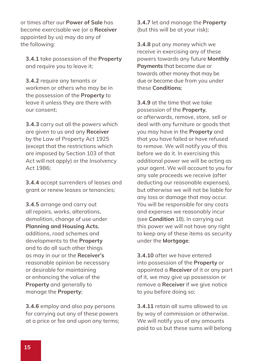or times after our **Power of Sale** has become exercisable we (or a **Receiver** appointed by us) may do any of the following:

**3.4.1** take possession of the **Property** and require you to leave it;

**3.4.2** require any tenants or workmen or others who may be in the possession of the **Property** to leave it unless they are there with our consent;

**3.4.3** carry out all the powers which are given to us and any **Receiver** by the Law of Property Act 1925 (except that the restrictions which are imposed by Section 103 of that Act will not apply) or the Insolvency Act 1986;

**3.4.4** accept surrenders of leases and grant or renew leases or tenancies;

**3.4.5** arrange and carry out all repairs, works, alterations, demolition, change of use under **Planning and Housing Acts**, additions, road schemes and developments to the **Property** and to do all such other things as may in our or the **Receiver's** reasonable opinion be necessary or desirable for maintaining or enhancing the value of the **Property** and generally to manage the **Property**;

**3.4.6** employ and also pay persons for carrying out any of these powers at a price or fee and upon any terms; **3.4.7** let and manage the **Property** (but this will be at your risk);

**3.4.8** put any money which we receive in exercising any of these powers towards any future **Monthly Payments** that become due or towards other money that may be due or become due from you under these **Conditions**;

**3.4.9** at the time that we take possession of the **Property**, or afterwards, remove, store, sell or deal with any furniture or goods that you may have in the **Property** and that you have failed or have refused to remove. We will notify you of this before we do it. In exercising this additional power we will be acting as your agent. We will account to you for any sale proceeds we receive (after deducting our reasonable expenses), but otherwise we will not be liable for any loss or damage that may occur. You will be responsible for any costs and expenses we reasonably incur (see **Condition** 18). In carrying out this power we will not have any right to keep any of these items as security under the **Mortgage**;

**3.4.10** after we have entered into possession of the **Property** or appointed a **Receiver** of it or any part of it, we may give up possession or remove a **Receiver** if we give notice to you before doing so;

**3.4.11** retain all sums allowed to us by way of commission or otherwise. We will notify you of any amounts paid to us but these sums will belong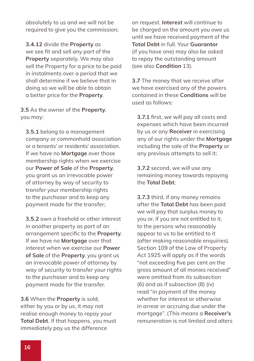absolutely to us and we will not be required to give you the commission;

**3.4.12** divide the **Property** as we see fit and sell any part of the **Property** separately. We may also sell the Property for a price to be paid in instalments over a period that we shall determine if we believe that in doing so we will be able to obtain a better price for the **Property**.

**3.5** As the owner of the **Property**, you may:

**3.5.1** belong to a management company or commonhold association or a tenants' or residents' association. If we have no **Mortgage** over those membership rights when we exercise our **Power of Sale** of the **Property**, you grant us an irrevocable power of attorney by way of security to transfer your membership rights to the purchaser and to keep any payment made for the transfer;

**3.5.2** own a freehold or other interest in another property as part of an arrangement specific to the **Property**. If we have no **Mortgage** over that interest when we exercise our **Power of Sale** of the **Property**, you grant us an irrevocable power of attorney by way of security to transfer your rights to the purchaser and to keep any payment made for the transfer.

**3.6** When the **Property** is sold, either by you or by us, it may not realise enough money to repay your **Total Debt**. If that happens, you must immediately pay us the difference

on request. **Interest** will continue to be charged on the amount you owe us until we have received payment of the **Total Debt** in full. Your **Guarantor** (if you have one) may also be asked to repay the outstanding amount (see also **Condition** 13).

**3.7** The money that we receive after we have exercised any of the powers contained in these **Conditions** will be used as follows:

**3.7.1** first, we will pay all costs and expenses which have been incurred by us or any **Receiver** in exercising any of our rights under the **Mortgage** including the sale of the **Property** or any previous attempts to sell it;

**3.7.2** second, we will use any remaining money towards repaying the **Total Debt**;

**3.7.3** third, if any money remains after the **Total Debt** has been paid we will pay that surplus money to you or, if you are not entitled to it, to the persons who reasonably appear to us to be entitled to it (after making reasonable enquiries). Section 109 of the Law of Property Act 1925 will apply as if the words "not exceeding five per cent on the gross amount of all monies received" were omitted from its subsection (6) and as if subsection (8) (iv) read "in payment of the money whether for interest or otherwise in arrear or accruing due under the mortgage". (This means a **Receiver's** remuneration is not limited and alters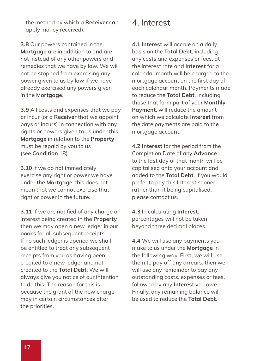the method by which a **Receiver** can apply money received).

**3.8** Our powers contained in the **Mortgage** are in addition to and are not instead of any other powers and remedies that we have by law. We will not be stopped from exercising any power given to us by law if we have already exercised any powers given in the **Mortgage**.

**3.9** All costs and expenses that we pay or incur (or a **Receiver** that we appoint pays or incurs) in connection with any rights or powers given to us under this **Mortgage** in relation to the **Property** must be repaid by you to us (see **Condition** 18).

**3.10** If we do not immediately exercise any right or power we have under the **Mortgage**, this does not mean that we cannot exercise that right or power in the future.

**3.11** If we are notified of any charge or interest being created in the **Property** then we may open a new ledger in our books for all subsequent receipts. If no such ledger is opened we shall be entitled to treat any subsequent receipts from you as having been credited to a new ledger and not credited to the **Total Debt**. We will always give you notice of our intention to do this. The reason for this is because the grant of the new charge may in certain circumstances alter the priorities.

#### 4. Interest

**4.1 Interest** will accrue on a daily basis on the **Total Debt**, including any costs and expenses or fees, at the interest rate and **Interest** for a calendar month will be charged to the mortgage account on the first day of each calendar month. Payments made to reduce the **Total Debt**, including those that form part of your **Monthly Payment**, will reduce the amount on which we calculate **Interest** from the date payments are paid to the mortgage account.

**4.2 Interest** for the period from the Completion Date of any **Advance** to the last day of that month will be capitalised onto your account and added to the **Total Debt**. If you would prefer to pay this Interest sooner rather than it being capitalised, please contact us.

**4.3** In calculating **Interest**, percentages will not be taken beyond three decimal places.

**4.4** We will use any payments you make to us under the **Mortgage** in the following way. First, we will use them to pay off any arrears, then we will use any remainder to pay any outstanding costs, expenses or fees, followed by any **Interest** you owe. Finally, any remaining balance will be used to reduce the **Total Debt**.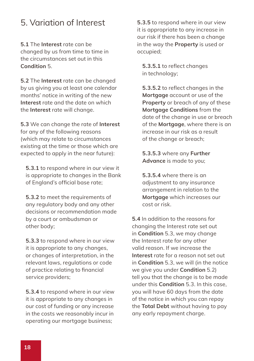#### 5. Variation of Interest

**5.1** The **Interest** rate can be changed by us from time to time in the circumstances set out in this **Condition** 5.

**5.2** The **Interest** rate can be changed by us giving you at least one calendar months' notice in writing of the new **Interest** rate and the date on which the **Interest** rate will change.

**5.3** We can change the rate of **Interest** for any of the following reasons (which may relate to circumstances existing at the time or those which are expected to apply in the near future):

**5.3.1** to respond where in our view it is appropriate to changes in the Bank of England's official base rate;

**5.3.2** to meet the requirements of any regulatory body and any other decisions or recommendation made by a court or ombudsman or other body;

**5.3.3** to respond where in our view it is appropriate to any changes, or changes of interpretation, in the relevant laws, regulations or code of practice relating to financial service providers;

**5.3.4** to respond where in our view it is appropriate to any changes in our cost of funding or any increase in the costs we reasonably incur in operating our mortgage business;

occupied; **5.3.5** to respond where in our view it is appropriate to any increase in our risk if there has been a change in the way the **Property** is used or

**5.3.5.1** to reflect changes in technology;

**5.3.5.2** to reflect changes in the **Mortgage** account or use of the **Property** or breach of any of these **Mortgage Conditions** from the date of the change in use or breach of the **Mortgage**, where there is an increase in our risk as a result of the change or breach;

**5.3.5.3** where any **Further Advance** is made to you;

**5.3.5.4** where there is an adjustment to any insurance arrangement in relation to the **Mortgage** which increases our cost or risk.

**5.4** In addition to the reasons for changing the Interest rate set out in **Condition** 5.3, we may change the Interest rate for any other valid reason. If we increase the **Interest** rate for a reason not set out in **Condition** 5.3, we will (in the notice we give you under **Condition** 5.2) tell you that the change is to be made under this **Condition** 5.3. In this case, you will have 60 days from the date of the notice in which you can repay the **Total Debt** without having to pay any early repayment charge.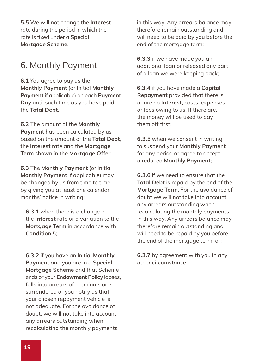**5.5** We will not change the **Interest** rate during the period in which the rate is fixed under a **Special Mortgage Scheme**.

### 6. Monthly Payment

**6.1** You agree to pay us the **Monthly Payment** (or Initial **Monthly Payment** if applicable) on each **Payment Day** until such time as you have paid the **Total Debt**.

**6.2** The amount of the **Monthly Payment** has been calculated by us based on the amount of the **Total Debt,** the **Interest** rate and the **Mortgage Term** shown in the **Mortgage Offer**.

**6.3** The **Monthly Payment** (or Initial **Monthly Payment** if applicable) may be changed by us from time to time by giving you at least one calendar months' notice in writing:

**6.3.1** when there is a change in the **Interest** rate or a variation to the **Mortgage Term** in accordance with **Condition** 5;

**6.3.2** if you have an Initial **Monthly Payment** and you are in a **Special Mortgage Scheme** and that Scheme ends or your **Endowment Policy** lapses, falls into arrears of premiums or is surrendered or you notify us that your chosen repayment vehicle is not adequate. For the avoidance of doubt, we will not take into account any arrears outstanding when recalculating the monthly payments

in this way. Any arrears balance may therefore remain outstanding and will need to be paid by you before the end of the mortgage term;

**6.3.3** if we have made you an additional loan or released any part of a loan we were keeping back;

**6.3.4** if you have made a **Capital Repayment** provided that there is or are no **Interest**, costs, expenses or fees owing to us. If there are, the money will be used to pay them off first;

**6.3.5** when we consent in writing to suspend your **Monthly Payment** for any period or agree to accept a reduced **Monthly Payment**;

**6.3.6** if we need to ensure that the **Total Debt** is repaid by the end of the **Mortgage Term**. For the avoidance of doubt we will not take into account any arrears outstanding when recalculating the monthly payments in this way. Any arrears balance may therefore remain outstanding and will need to be repaid by you before the end of the mortgage term, or;

**6.3.7** by agreement with you in any other circumstance.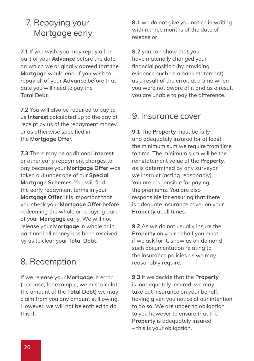### 7. Repaying your Mortgage early

**7.1** If you wish, you may repay all or part of your **Advance** before the date on which we originally agreed that the **Mortgage** would end. If you wish to repay all of your **Advance** before that date you will need to pay the **Total Debt**.

**7.2** You will also be required to pay to us **Interest** calculated up to the day of receipt by us of the repayment money, or as otherwise specified in the **Mortgage Offer**.

**7.3** There may be additional **Interest** or other early repayment charges to pay because your **Mortgage Offer** was taken out under one of our **Special Mortgage Schemes**. You will find the early repayment terms in your **Mortgage Offer**. It is important that you check your **Mortgage Offer** before redeeming the whole or repaying part of your **Mortgage** early. We will not release your **Mortgage** in whole or in part until all money has been received by us to clear your **Total Debt**.

#### 8. Redemption

If we release your **Mortgage** in error (because, for example, we miscalculate the amount of the **Total Debt**) we may claim from you any amount still owing. However, we will not be entitled to do this if:

**8.1** we do not give you notice in writing within three months of the date of release or

**8.2** you can show that you have materially changed your financial position (by providing evidence such as a bank statement) as a result of the error, at a time when you were not aware of it and as a result you are unable to pay the difference.

#### 9. Insurance cover

**9.1** The **Property** must be fully and adequately insured for at least the minimum sum we require from time to time. The minimum sum will be the reinstatement value of the **Property**, as is determined by any surveyor we instruct (acting reasonably). You are responsible for paying the premiums. You are also responsible for ensuring that there is adequate insurance cover on your **Property** at all times.

**9.2** As we do not usually insure the **Property** on your behalf you must, if we ask for it, show us on demand such documentation relating to the insurance policies as we may reasonably require.

**9.3** If we decide that the **Property** is inadequately insured, we may take out Insurance on your behalf, having given you notice of our intention to do so. We are under no obligation to you however to ensure that the **Property** is adequately insured – this is your obligation.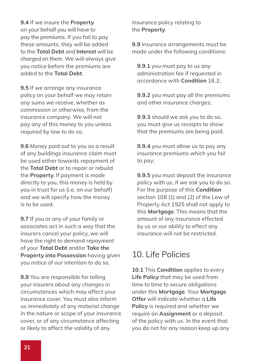**9.4** If we insure the **Property** on your behalf you will have to pay the premiums. If you fail to pay these amounts, they will be added to the **Total Debt** and **Interest** will be charged on them. We will always give you notice before the premiums are added to the **Total Debt**.

**9.5** If we arrange any insurance policy on your behalf we may retain any sums we receive, whether as commission or otherwise, from the insurance company. We will not pay any of this money to you unless required by law to do so.

**9.6** Money paid out to you as a result of any buildings insurance claim must be used either towards repayment of the **Total Debt** or to repair or rebuild the **Property**. If payment is made directly to you, this money is held by you in trust for us (i.e. on our behalf) and we will specify how the money is to be used.

**9.7** If you or any of your family or associates act in such a way that the insurers cancel your policy, we will have the right to demand repayment of your **Total Debt** and/or **Take the Property into Possession** having given you notice of our intention to do so.

**9.8** You are responsible for telling your insurers about any changes in circumstances which may affect your insurance cover. You must also inform us immediately of any material change in the nature or scope of your insurance cover, or of any circumstance affecting or likely to affect the validity of any

insurance policy relating to the **Property**.

**9.9** Insurance arrangements must be made under the following conditions:

**9.9.1** you must pay to us any administration fee if requested in accordance with **Condition** 18.2;

**9.9.2** you must pay all the premiums and other insurance charges;

**9.9.3** should we ask you to do so, you must give us receipts to show that the premiums are being paid;

**9.9.4** you must allow us to pay any insurance premiums which you fail to pay;

**9.9.5** you must deposit the insurance policy with us, if we ask you to do so. For the purpose of this **Condition** section 108 (1) and (2) of the Law of Property Act 1925 shall not apply to this **Mortgage**. This means that the amount of any insurance effected by us or our ability to effect any insurance will not be restricted.

#### 10. Life Policies

**10.1** This **Condition** applies to every **Life Policy** that may be used from time to time to secure obligations under this **Mortgage**. Your **Mortgage Offer** will indicate whether a **Life Policy** is required and whether we require an **Assignment** or a deposit of the policy with us. In the event that you do not for any reason keep up any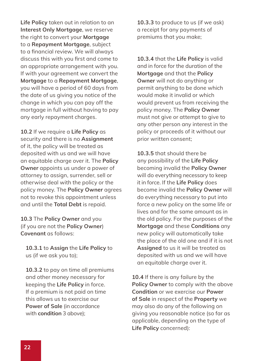the right to convert your **Mortgage** to a **Repayment Mortgage**, subject to a financial review. We will always discuss this with you first and come to an appropriate arrangement with you. If with your agreement we convert the **Mortgage** to a **Repayment Mortgage**, you will have a period of 60 days from the date of us giving you notice of the change in which you can pay off the mortgage in full without having to pay any early repayment charges. **Life Policy** taken out in relation to an **Interest Only Mortgage**, we reserve

**10.2** If we require a **Life Policy** as security and there is no **Assignment** of it, the policy will be treated as deposited with us and we will have an equitable charge over it. The **Policy Owner** appoints us under a power of attorney to assign, surrender, sell or otherwise deal with the policy or the policy money. The **Policy Owner** agrees not to revoke this appointment unless and until the **Total Debt** is repaid.

**10.3** The **Policy Owner** and you (if you are not the **Policy Owner**) **Covenant** as follows:

**10.3.1** to **Assign** the **Life Policy** to us (if we ask you to);

**10.3.2** to pay on time all premiums and other money necessary for keeping the **Life Policy** in force. If a premium is not paid on time this allows us to exercise our **Power of Sale** (in accordance with **condition** 3 above);

**10.3.3** to produce to us (if we ask) a receipt for any payments of premiums that you make;

**10.3.4** that the **Life Policy** is valid and in force for the duration of the **Mortgage** and that the **Policy Owner** will not do anything or permit anything to be done which would make it invalid or which would prevent us from receiving the policy money. The **Policy Owner** must not give or attempt to give to any other person any interest in the policy or proceeds of it without our prior written consent;

**10.3.5** that should there be any possibility of the **Life Policy** becoming invalid the **Policy Owner** will do everything necessary to keep it in force. If the **Life Policy** does become invalid the **Policy Owner** will do everything necessary to put into force a new policy on the same life or lives and for the same amount as in the old policy. For the purposes of the **Mortgage** and these **Conditions** any new policy will automatically take the place of the old one and if it is not **Assigned** to us it will be treated as deposited with us and we will have an equitable charge over it.

**10.4** If there is any failure by the **Policy Owner** to comply with the above **Condition** or we exercise our **Power of Sale** in respect of the **Property** we may also do any of the following on giving you reasonable notice (so far as applicable, depending on the type of **Life Policy** concerned):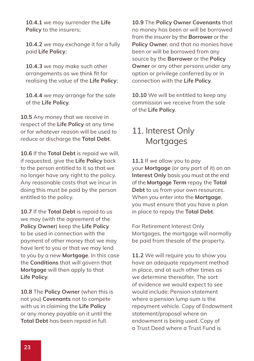**10.4.1** we may surrender the **Life Policy** to the insurers;

**10.4.2** we may exchange it for a fully paid **Life Policy**;

**10.4.3** we may make such other arrangements as we think fit for realising the value of the **Life Policy**;

**10.4.4** we may arrange for the sale of the **Life Policy**.

**10.5** Any money that we receive in respect of the **Life Policy** at any time or for whatever reason will be used to reduce or discharge the **Total Debt**.

**10.6** If the **Total Debt** is repaid we will, if requested, give the **Life Policy** back to the person entitled to it so that we no longer have any right to the policy. Any reasonable costs that we incur in doing this must be paid by the person entitled to the policy.

**10.7** If the **Total Debt** is repaid to us we may (with the agreement of the **Policy Owner**) keep the **Life Policy** to be used in connection with the payment of other money that we may have lent to you or that we may lend to you by a new **Mortgage**. In this case the **Conditions** that will govern that **Mortgage** will then apply to that **Life Policy**.

**10.8** The **Policy Owner** (when this is not you) **Covenants** not to compete with us in claiming the **Life Policy** or any money payable on it until the **Total Debt** has been repaid in full.

**10.9** The **Policy Owner Covenants** that no money has been or will be borrowed from the insurer by the **Borrower** or the **Policy Owner**, and that no monies have been or will be borrowed from any source by the **Borrower** or the **Policy Owner** or any other persons under any option or privilege conferred by or in connection with the **Life Policy**.

**10.10** We will be entitled to keep any commission we receive from the sale of the **Life Policy**.

### 11. Interest Only **Mortgages**

**11.1** If we allow you to pay your **Mortgage** (or any part of it) on an **Interest Only** basis you must at the end of the **Mortgage Term** repay the **Total Debt** to us from your own resources. When you enter into the **Mortgage**, you must ensure that you have a plan in place to repay the **Total Debt**.

For Retirement Interest Only Mortgages, the mortgage will normally be paid from thesale of the property.

**11.2** We will require you to show you have an adequate repayment method in place, and at such other times as we determine thereafter. The sort of evidence we would expect to see would include; Pension statement where a pension lump sum is the repayment vehicle. Copy of Endowment statement/proposal where an endowment is being used. Copy of a Trust Deed where a Trust Fund is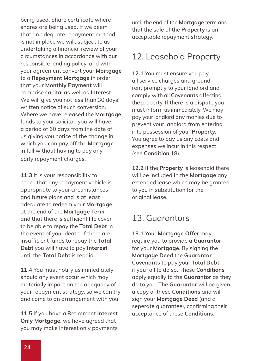being used. Share certificate where shares are being used. If we deem that an adequate repayment method is not in place we will, subject to us undertaking a financial review of your circumstances in accordance with our responsible lending policy, and with your agreement convert your **Mortgage** to a **Repayment Mortgage** in order that your **Monthly Payment** will comprise capital as well as **Interest**. We will give you not less than 30 days' written notice of such conversion. Where we have released the **Mortgage** funds to your solicitor, you will have a period of 60 days from the date of us giving you notice of the change in which you can pay off the **Mortgage** in full without having to pay any early repayment charges.

**11.3** It is your responsibility to check that any repayment vehicle is appropriate to your circumstances and future plans and is at least adequate to redeem your **Mortgage** at the end of the **Mortgage Term** and that there is sufficient life cover to be able to repay the **Total Debt** in the event of your death. If there are insufficient funds to repay the **Total Debt** you will have to pay **Interest** until the **Total Debt** is repaid.

**11.4** You must notify us immediately should any event occur which may materially impact on the adequacy of your repayment strategy, so we can try and come to an arrangement with you.

**11.5** If you have a Retirement **Interest Only Mortgage**, we have agreed that you may make Interest only payments

until the end of the **Mortgage** term and that the sale of the **Property** is an acceptable repayment strategy.

#### 12. Leasehold Property

**12.1** You must ensure you pay all service charges and ground rent promptly to your landlord and comply with all **Covenants** affecting the property. If there is a dispute you must inform us immediately. We may pay your landlord any monies due to prevent your landlord from entering into possession of your **Property**. You agree to pay us any costs and expenses we incur in this respect (see **Condition** 18).

**12.2** If the **Property** is leasehold there will be included in the **Mortgage** any extended lease which may be granted to you in substitution for the original lease.

#### 13. Guarantors

**13.1** Your **Mortgage Offer** may require you to provide a **Guarantor** for your **Mortgage**. By signing the **Mortgage Deed** the **Guarantor Covenants** to pay your **Total Debt** if you fail to do so. These **Conditions** apply equally to the **Guarantor** as they do to you. The **Guarantor** will be given a copy of these **Conditions** and will sign your **Mortgage Deed** (and a seperate guarantee), confirming their acceptance of these **Conditions.**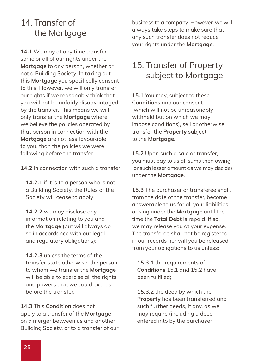#### 14. Transfer of the Mortgage

**14.1** We may at any time transfer some or all of our rights under the **Mortgage** to any person, whether or not a Building Society. In taking out this **Mortgage** you specifically consent to this. However, we will only transfer our rights if we reasonably think that you will not be unfairly disadvantaged by the transfer. This means we will only transfer the **Mortgage** where we believe the policies operated by that person in connection with the **Mortgage** are not less favourable to you, than the policies we were following before the transfer.

**14.2** In connection with such a transfer:

**14.2.1** if it is to a person who is not a Building Society, the Rules of the Society will cease to apply;

**14.2.2** we may disclose any information relating to you and the **Mortgage** (but will always do so in accordance with our legal and regulatory obligations);

**14.2.3** unless the terms of the transfer state otherwise, the person to whom we transfer the **Mortgage** will be able to exercise all the rights and powers that we could exercise before the transfer.

**14.3** This **Condition** does not apply to a transfer of the **Mortgage** on a merger between us and another Building Society, or to a transfer of our business to a company. However, we will always take steps to make sure that any such transfer does not reduce your rights under the **Mortgage**.

### 15. Transfer of Property subject to Mortgage

**15.1** You may, subject to these **Conditions** and our consent (which will not be unreasonably withheld but on which we may impose conditions), sell or otherwise transfer the **Property** subject to the **Mortgage**.

**15.2** Upon such a sale or transfer, you must pay to us all sums then owing (or such lesser amount as we may decide) under the **Mortgage**.

**15.3** The purchaser or transferee shall, from the date of the transfer, become answerable to us for all your liabilities arising under the **Mortgage** until the time the **Total Debt** is repaid. If so, we may release you at your expense. The transferee shall not be registered in our records nor will you be released from your obligations to us unless:

**15.3.1** the requirements of **Conditions** 15.1 and 15.2 have been fulfilled;

**15.3.2** the deed by which the **Property** has been transferred and such further deeds, if any, as we may require (including a deed entered into by the purchaser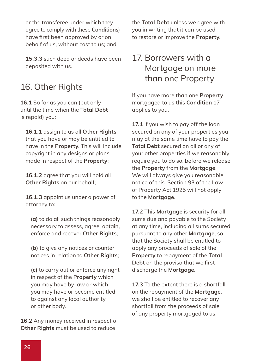or the transferee under which they agree to comply with these **Conditions**) have first been approved by or on behalf of us, without cost to us; and

**15.3.3** such deed or deeds have been deposited with us.

### 16. Other Rights

**16.1** So far as you can (but only until the time when the **Total Debt** is repaid) you:

**16.1.1** assign to us all **Other Rights** that you have or may be entitled to have in the **Property**. This will include copyright in any designs or plans made in respect of the **Property**;

**16.1.2** agree that you will hold all **Other Rights** on our behalf;

**16.1.3** appoint us under a power of attorney to:

**(a)** to do all such things reasonably necessary to assess, agree, obtain, enforce and recover **Other Rights**;

**(b)** to give any notices or counter notices in relation to **Other Rights**;

**(c)** to carry out or enforce any right in respect of the **Property** which you may have by law or which you may have or become entitled to against any local authority or other body.

**16.2** Any money received in respect of **Other Rights** must be used to reduce

the **Total Debt** unless we agree with you in writing that it can be used to restore or improve the **Property**.

### 17. Borrowers with a Mortgage on more than one Property

If you have more than one **Property** mortgaged to us this **Condition** 17 applies to you.

17.1 If you wish to pay off the loan secured on any of your properties you may at the same time have to pay the **Total Debt** secured on all or any of your other properties if we reasonably require you to do so, before we release the **Property** from the **Mortgage**. We will always give you reasonable notice of this. Section 93 of the Law of Property Act 1925 will not apply to the **Mortgage**.

**17.2** This **Mortgage** is security for all sums due and payable to the Society at any time, including all sums secured pursuant to any other **Mortgage**, so that the Society shall be entitled to apply any proceeds of sale of the **Property** to repayment of the **Total Debt** on the proviso that we first discharge the **Mortgage**.

**17.3** To the extent there is a shortfall on the repayment of the **Mortgage**, we shall be entitled to recover any shortfall from the proceeds of sale of any property mortgaged to us.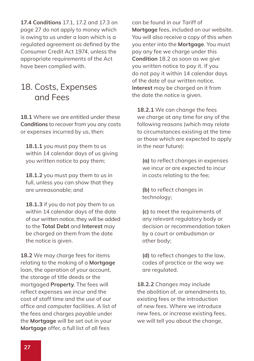**17.4 Conditions** 17.1, 17.2 and 17.3 on page 27 do not apply to money which is owing to us under a loan which is a regulated agreement as defined by the Consumer Credit Act 1974, unless the appropriate requirements of the Act have been complied with.

#### 18. Costs, Expenses and Fees

**18.1** Where we are entitled under these **Conditions** to recover from you any costs or expenses incurred by us, then:

18.1.1 you must pay them to us within 14 calendar days of us giving you written notice to pay them;

**18.1.2** you must pay them to us in full, unless you can show that they are unreasonable; and

**18.1.3** if you do not pay them to us within 14 calendar days of the date of our written notice, they will be added to the **Total Debt** and **Interest** may be charged on them from the date the notice is given.

**18.2** We may charge fees for items relating to the making of a **Mortgage** loan, the operation of your account, the storage of title deeds or the mortgaged **Property**. The fees will reflect expenses we incur and the cost of staff time and the use of our office and computer facilities. A list of the fees and charges payable under the **Mortgage** will be set out in your **Mortgage** offer, a full list of all fees

can be found in our Tariff of **Mortgage** fees, included on our website. You will also receive a copy of this when you enter into the **Mortgage**. You must pay any fee we charge under this **Condition** 18.2 as soon as we give you written notice to pay it. If you do not pay it within 14 calendar days of the date of our written notice, **Interest** may be charged on it from the date the notice is given.

**18.2.1** We can change the fees we charge at any time for any of the following reasons (which may relate to circumstances existing at the time or those which are expected to apply in the near future):

**(a)** to reflect changes in expenses we incur or are expected to incur in costs relating to the fee;

**(b)** to reflect changes in technology;

**(c)** to meet the requirements of any relevant regulatory body or decision or recommendation taken by a court or ombudsman or other body;

**(d)** to reflect changes to the law, codes of practice or the way we are regulated.

**18.2.2** Changes may include the abolition of, or amendments to, existing fees or the introduction of new fees. Where we introduce new fees, or increase existing fees, we will tell you about the change,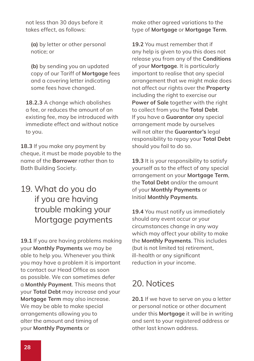not less than 30 days before it takes effect, as follows:

**(a)** by letter or other personal notice; or

**(b)** by sending you an updated copy of our Tariff of **Mortgage** fees and a covering letter indicating some fees have changed.

**18.2.3** A change which abolishes a fee, or reduces the amount of an existing fee, may be introduced with immediate effect and without notice to you.

**18.3** If you make any payment by cheque, it must be made payable to the name of the **Borrower** rather than to Bath Building Society.

### 19. What do you do if you are having trouble making your Mortgage payments

**19.1** If you are having problems making your **Monthly Payments** we may be able to help you. Whenever you think you may have a problem it is important to contact our Head Office as soon as possible. We can sometimes defer a **Monthly Payment**. This means that your **Total Debt** may increase and your **Mortgage Term** may also increase. We may be able to make special arrangements allowing you to alter the amount and timing of your **Monthly Payments** or

make other agreed variations to the type of **Mortgage** or **Mortgage Term**.

**19.2** You must remember that if any help is given to you this does not release you from any of the **Conditions** of your **Mortgage**. It is particularly important to realise that any special arrangement that we might make does not affect our rights over the **Property** including the right to exercise our **Power of Sale** together with the right to collect from you the **Total Debt**. If you have a **Guarantor** any special arrangement made by ourselves will not alter the **Guarantor's** legal responsibility to repay your **Total Debt** should you fail to do so.

**19.3** It is your responsibility to satisfy yourself as to the effect of any special arrangement on your **Mortgage Term**, the **Total Debt** and/or the amount of your **Monthly Payments** or Initial **Monthly Payments**.

**19.4** You must notify us immediately should any event occur or your circumstances change in any way which may affect your ability to make the **Monthly Payments**. This includes (but is not limited to) retirement, ill-health or any significant reduction in your income.

### 20. Notices

**20.1** If we have to serve on you a letter or personal notice or other document under this **Mortgage** it will be in writing and sent to your registered address or other last known address.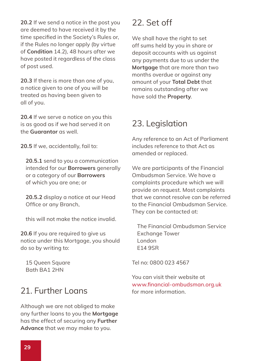**20.2** If we send a notice in the post you are deemed to have received it by the time specified in the Society's Rules or, if the Rules no longer apply (by virtue of **Condition** 14.2), 48 hours after we have posted it regardless of the class of post used.

**20.3** If there is more than one of you, a notice given to one of you will be treated as having been given to all of you.

**20.4** If we serve a notice on you this is as good as if we had served it on the **Guarantor** as well.

**20.5** If we, accidentally, fail to:

**20.5.1** send to you a communication intended for our **Borrowers** generally or a category of our **Borrowers** of which you are one; or

**20.5.2** display a notice at our Head Office or any Branch,

this will not make the notice invalid.

**20.6** If you are required to give us notice under this Mortgage, you should do so by writing to:

15 Queen Square Bath BA1 2HN

### 21. Further Loans

Although we are not obliged to make any further loans to you the **Mortgage** has the effect of securing any **Further Advance** that we may make to you.

### 22. Set off

We shall have the right to set off sums held by you in share or deposit accounts with us against any payments due to us under the **Mortgage** that are more than two months overdue or against any amount of your **Total Debt** that remains outstanding after we have sold the **Property**.

### 23. Legislation

Any reference to an Act of Parliament includes reference to that Act as amended or replaced.

We are participants of the Financial Ombudsman Service. We have a complaints procedure which we will provide on request. Most complaints that we cannot resolve can be referred to the Financial Ombudsman Service. They can be contacted at:

The Financial Ombudsman Service Exchange Tower London E14 9SR

Tel no: 0800 023 4567

You can visit their website at www.financial-ombudsman.org.uk for more information.